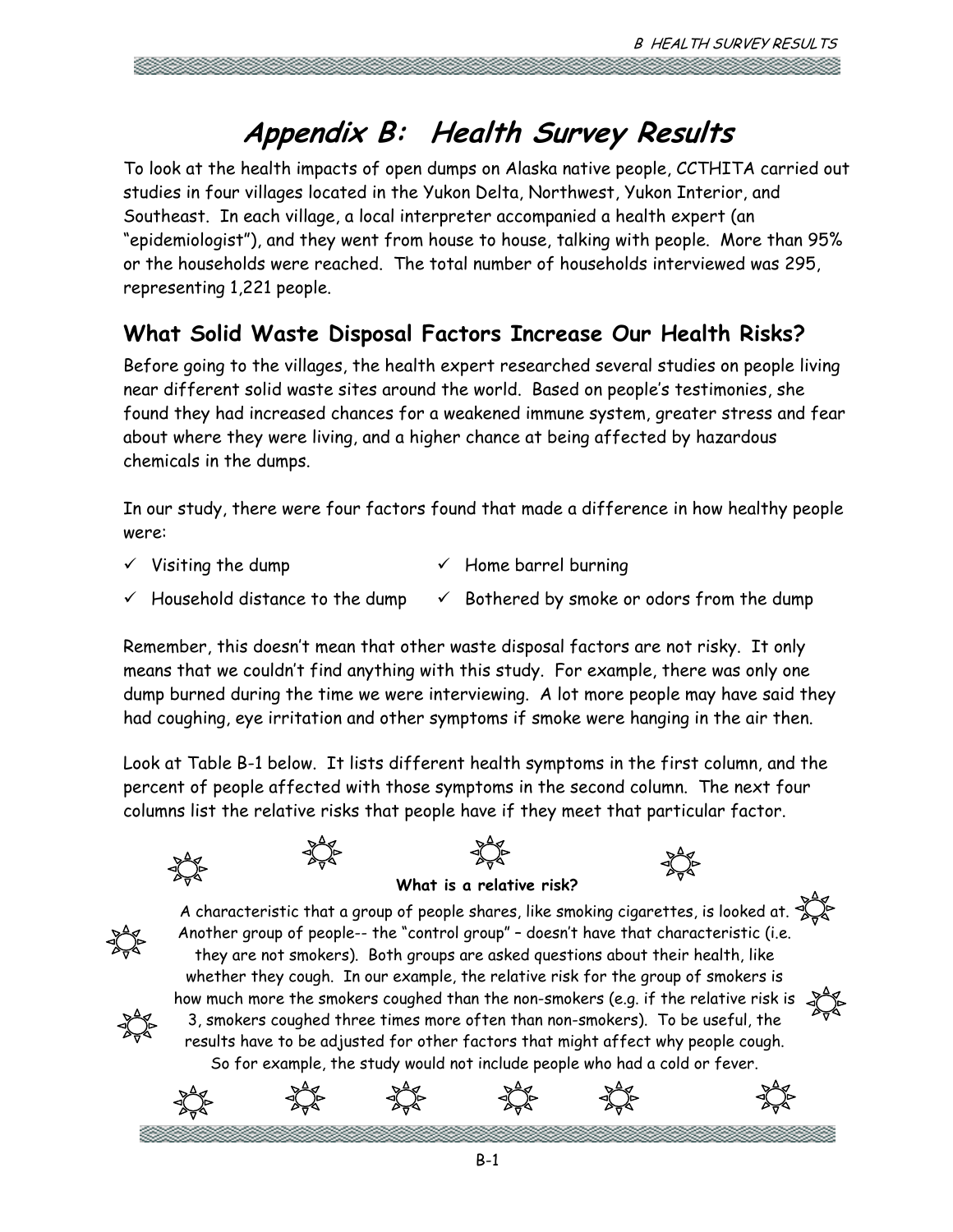# **Appendix B: Health Survey Results**

To look at the health impacts of open dumps on Alaska native people, CCTHITA carried out studies in four villages located in the Yukon Delta, Northwest, Yukon Interior, and Southeast. In each village, a local interpreter accompanied a health expert (an "epidemiologist"), and they went from house to house, talking with people. More than 95% or the households were reached. The total number of households interviewed was 295, representing 1,221 people.

# **What Solid Waste Disposal Factors Increase Our Health Risks?**

Before going to the villages, the health expert researched several studies on people living near different solid waste sites around the world. Based on people's testimonies, she found they had increased chances for a weakened immune system, greater stress and fear about where they were living, and a higher chance at being affected by hazardous chemicals in the dumps.

In our study, there were four factors found that made a difference in how healthy people were:

- $\checkmark$  Visiting the dump  $\checkmark$  Home barrel burning
- $\checkmark$  Household distance to the dump  $\checkmark$  Bothered by smoke or odors from the dump

Remember, this doesn't mean that other waste disposal factors are not risky. It only means that we couldn't find anything with this study. For example, there was only one dump burned during the time we were interviewing. A lot more people may have said they had coughing, eye irritation and other symptoms if smoke were hanging in the air then.

Look at Table B-1 below. It lists different health symptoms in the first column, and the percent of people affected with those symptoms in the second column. The next four columns list the relative risks that people have if they meet that particular factor.

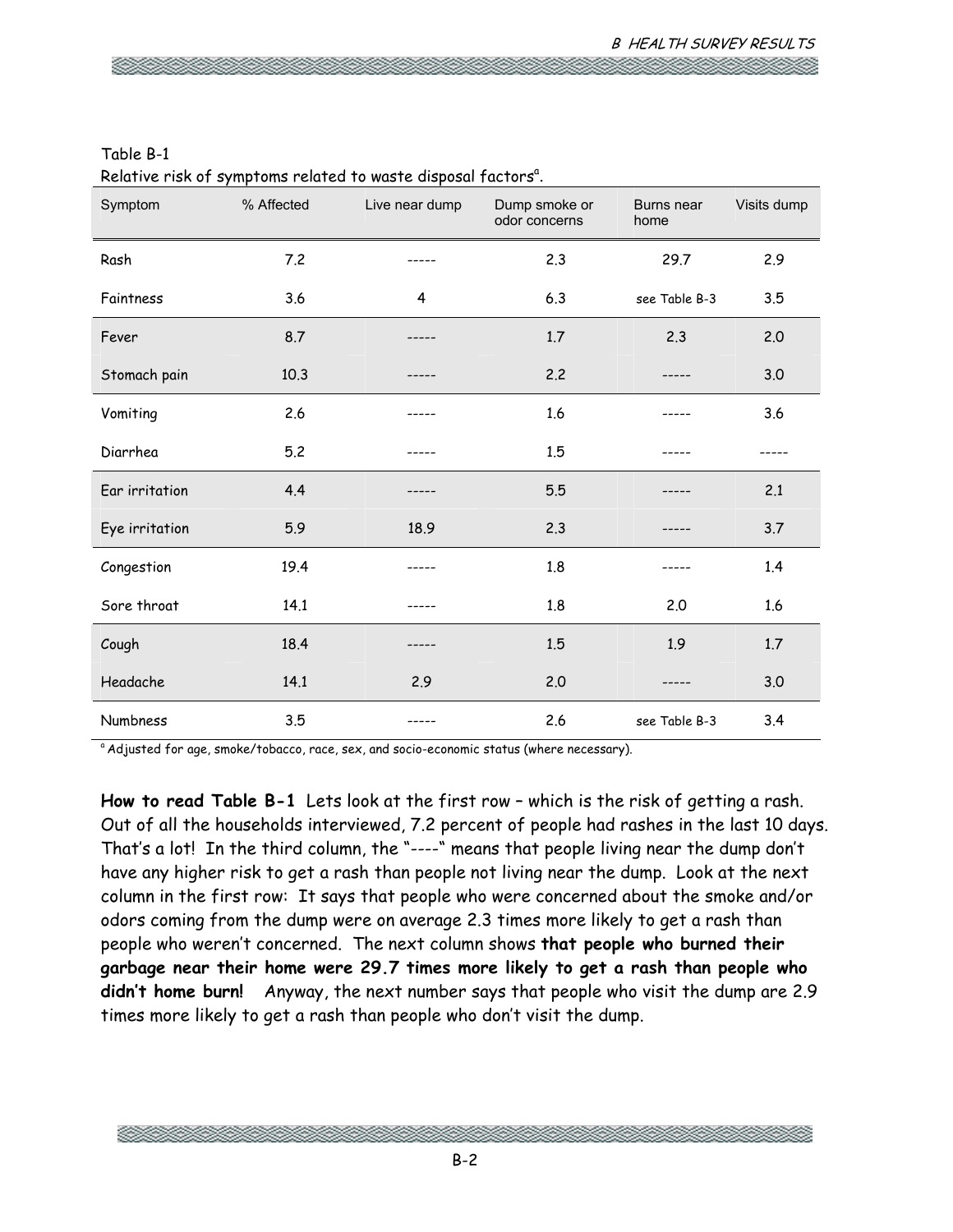| Symptom        | % Affected | Live near dump | Dump smoke or<br>odor concerns | Burns near<br>home | Visits dump |
|----------------|------------|----------------|--------------------------------|--------------------|-------------|
| Rash           | 7.2        |                | 2.3                            | 29.7               | 2.9         |
| Faintness      | 3.6        | 4              | 6.3                            | see Table B-3      | 3.5         |
| Fever          | 8.7        |                | 1.7                            | 2.3                | 2.0         |
| Stomach pain   | 10.3       |                | 2.2                            |                    | 3.0         |
| Vomiting       | 2.6        |                | 1.6                            |                    | 3.6         |
| Diarrhea       | 5.2        |                | 1.5                            |                    |             |
| Ear irritation | 4.4        |                | 5.5                            |                    | 2.1         |
| Eye irritation | 5.9        | 18.9           | 2.3                            |                    | 3.7         |
| Congestion     | 19.4       |                | 1.8                            |                    | 1.4         |
| Sore throat    | 14.1       |                | 1.8                            | 2.0                | 1.6         |
| Cough          | 18.4       |                | 1.5                            | 1.9                | 1.7         |
| Headache       | 14.1       | 2.9            | 2.0                            |                    | 3.0         |
| Numbness       | 3.5        |                | 2.6                            | see Table B-3      | 3.4         |

# Table B-1 Relative risk of symptoms related to waste disposal factors<sup>a</sup>.

<sup>a</sup> Adjusted for age, smoke/tobacco, race, sex, and socio-economic status (where necessary).

**How to read Table B-1** Lets look at the first row – which is the risk of getting a rash. Out of all the households interviewed, 7.2 percent of people had rashes in the last 10 days. That's a lot! In the third column, the "----" means that people living near the dump don't have any higher risk to get a rash than people not living near the dump. Look at the next column in the first row: It says that people who were concerned about the smoke and/or odors coming from the dump were on average 2.3 times more likely to get a rash than people who weren't concerned. The next column shows **that people who burned their garbage near their home were 29.7 times more likely to get a rash than people who didn't home burn!** Anyway, the next number says that people who visit the dump are 2.9 times more likely to get a rash than people who don't visit the dump.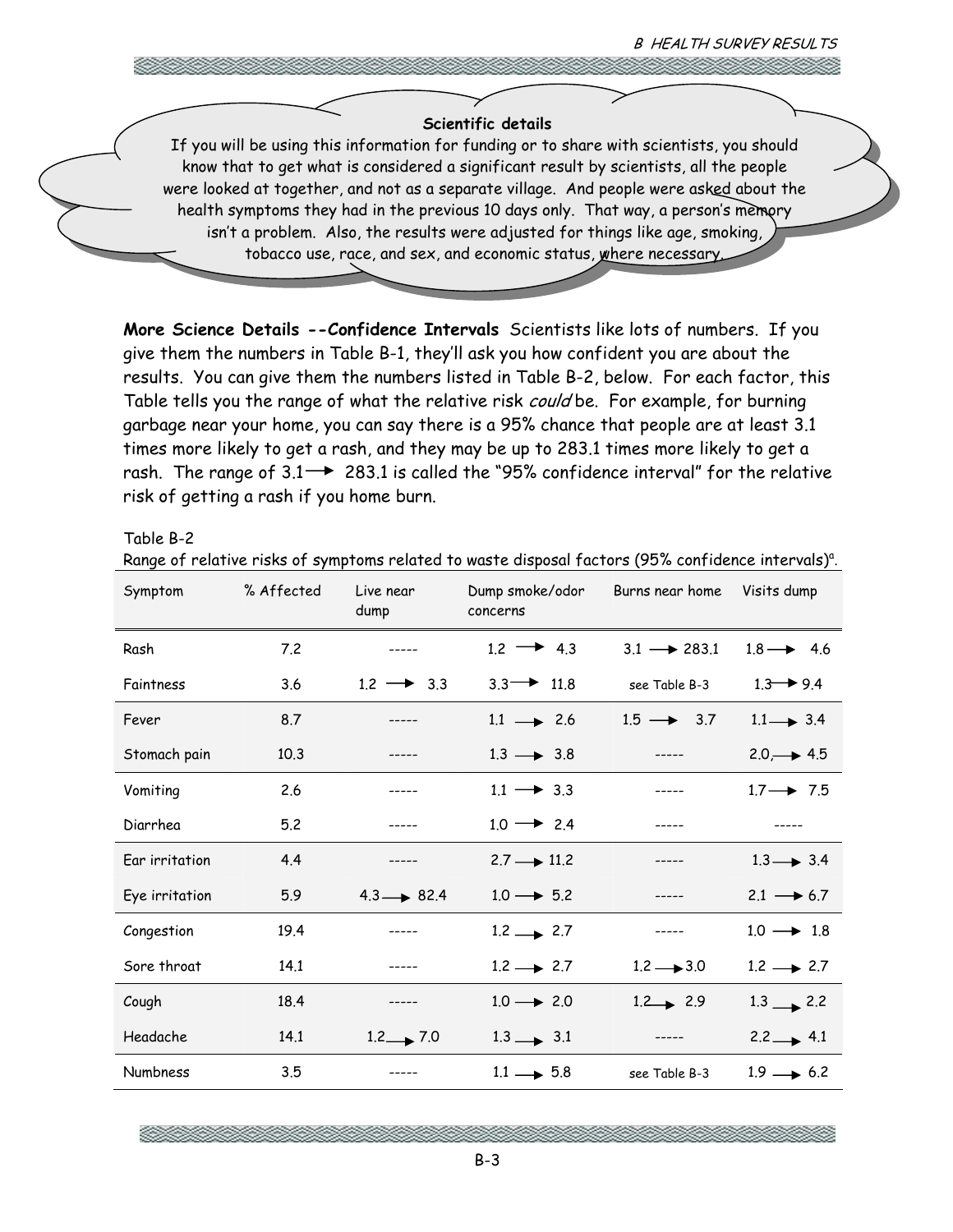## **Scientific details**

If you will be using this information for funding or to share with scientists, you should know that to get what is considered a significant result by scientists, all the people were looked at together, and not as a separate village. And people were asked about the health symptoms they had in the previous 10 days only. That way, a person's memory isn't a problem. Also, the results were adjusted for things like age, smoking, tobacco use, race, and sex, and economic status, where necessary.

**More Science Details --Confidence Intervals** Scientists like lots of numbers. If you give them the numbers in Table B-1, they'll ask you how confident you are about the results. You can give them the numbers listed in Table B-2, below. For each factor, this Table tells you the range of what the relative risk *could* be. For example, for burning garbage near your home, you can say there is a 95% chance that people are at least 3.1 times more likely to get a rash, and they may be up to 283.1 times more likely to get a rash. The range of  $3.1 \rightarrow 283.1$  is called the "95% confidence interval" for the relative risk of getting a rash if you home burn.

#### Table B-2

| Range of relative risks of symptoms related to waste disposal factors (95% confidence intervals) <sup>a</sup> . |  |
|-----------------------------------------------------------------------------------------------------------------|--|
|-----------------------------------------------------------------------------------------------------------------|--|

| Symptom               | % Affected | Live near<br>dump      | Dump smoke/odor<br>concerns | Burns near home         | Visits dump           |
|-----------------------|------------|------------------------|-----------------------------|-------------------------|-----------------------|
| Rash                  | 7.2        |                        | $1.2 \rightarrow 4.3$       | $3.1 \rightarrow 283.1$ | $1.8 \rightarrow 4.6$ |
| Faintness             | 3.6        | $1.2 \rightarrow 3.3$  | $3.3 \rightarrow 11.8$      | see Table B-3           | $1.3 \rightarrow 9.4$ |
| Fever                 | 8.7        | -----                  | $1.1 \rightarrow 2.6$       | $1.5 \rightarrow 3.7$   | $1.1 \rightarrow 3.4$ |
| Stomach pain          | 10.3       |                        | $1.3 \rightarrow 3.8$       | $- - - - -$             | $2.0 \rightarrow 4.5$ |
| Vomiting              | 2.6        |                        | $1.1 \rightarrow 3.3$       |                         | $1.7 \rightarrow 7.5$ |
| Diarrhea              | 5.2        | $- - - - -$            | $1.0 \rightarrow 2.4$       | $- - - - -$             |                       |
| <b>Ear</b> irritation | 4.4        | -----                  | $2.7 \rightarrow 11.2$      |                         | $1.3 \rightarrow 3.4$ |
| Eye irritation        | 5.9        | $4.3 \rightarrow 82.4$ | $1.0 \rightarrow 5.2$       |                         | $2.1 \rightarrow 6.7$ |
| Congestion            | 19.4       |                        | $1.2 \rightarrow 2.7$       | -----                   | $1.0 \rightarrow 1.8$ |
| Sore throat           | 14.1       |                        | $1.2 \rightarrow 2.7$       | $1.2 \rightarrow 3.0$   | $1.2 \rightarrow 2.7$ |
| Cough                 | 18.4       | $- - - - -$            | $1.0 \rightarrow 2.0$       | $1.2 \rightarrow 2.9$   | $1.3 \rightarrow 2.2$ |
| Headache              | 14.1       | $1.2 \rightarrow 7.0$  | $1.3 \rightarrow 3.1$       | -----                   | $2.2 \rightarrow 4.1$ |
| <b>Numbness</b>       | 3.5        |                        | $1.1 \rightarrow 5.8$       | see Table B-3           | $1.9 \rightarrow 6.2$ |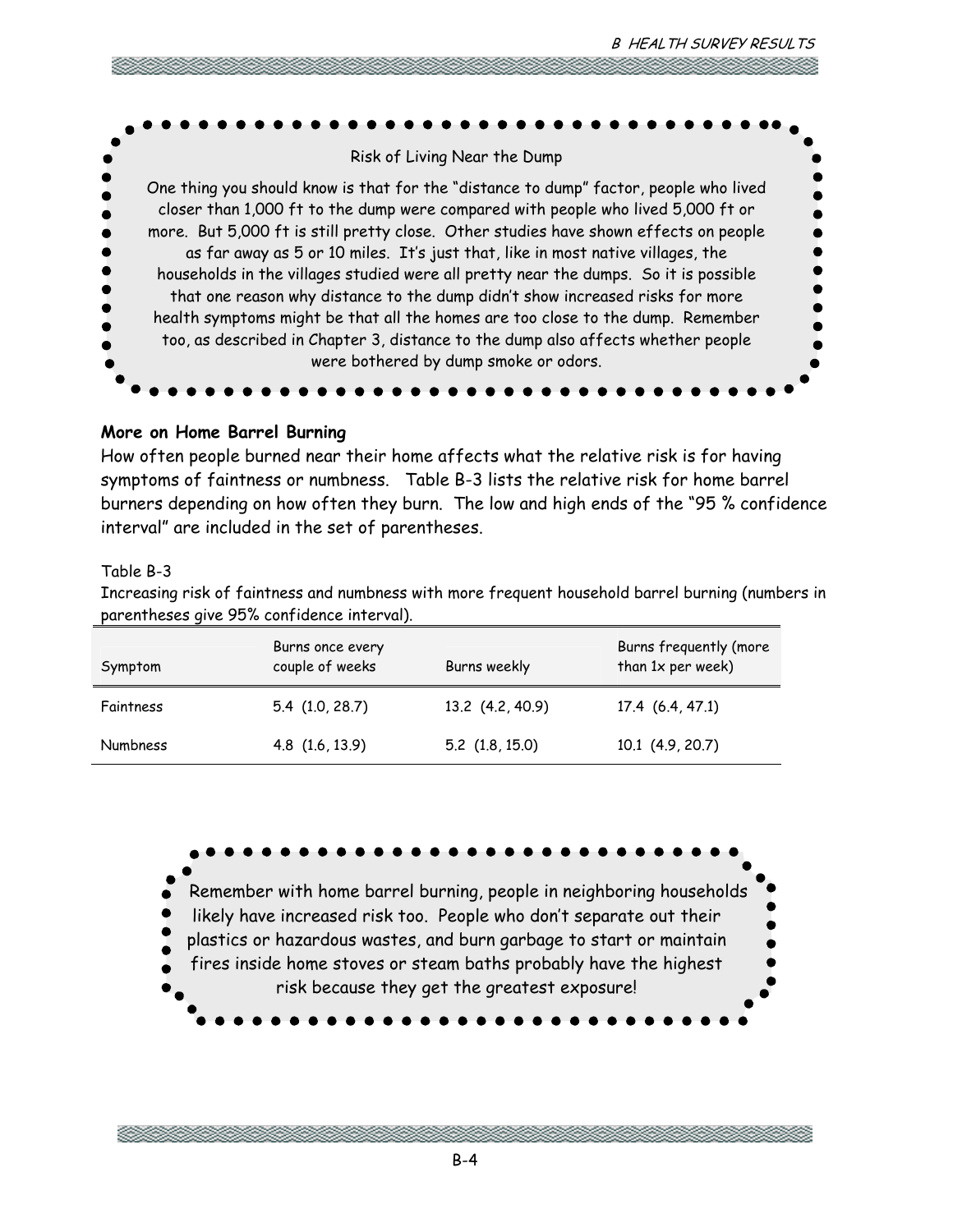

# **More on Home Barrel Burning**

How often people burned near their home affects what the relative risk is for having symptoms of faintness or numbness. Table B-3 lists the relative risk for home barrel burners depending on how often they burn. The low and high ends of the "95 % confidence interval" are included in the set of parentheses.

## Table B-3

Increasing risk of faintness and numbness with more frequent household barrel burning (numbers in parentheses give 95% confidence interval).

| Symptom         | Burns once every<br>couple of weeks | Burns weekly        | Burns frequently (more<br>than 1x per week) |
|-----------------|-------------------------------------|---------------------|---------------------------------------------|
| Faintness       | $5.4$ (1.0, 28.7)                   | 13.2 (4.2, 40.9)    | 17.4(6.4, 47.1)                             |
| <b>Numbness</b> | 4.8 (1.6, 13.9)                     | $5.2$ $(1.8, 15.0)$ | $10.1$ $(4.9, 20.7)$                        |



B-4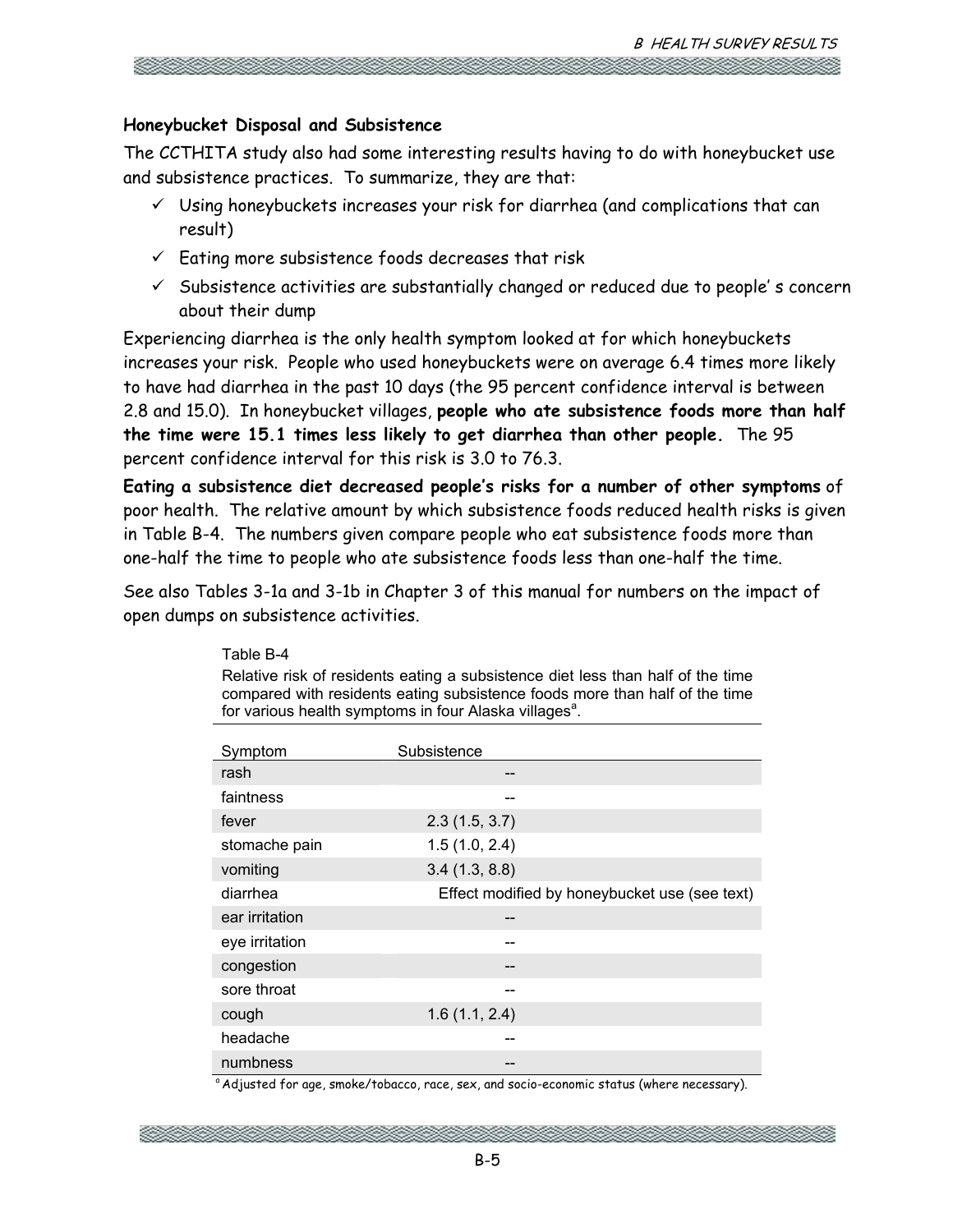# **Honeybucket Disposal and Subsistence**

Table B-4

The CCTHITA study also had some interesting results having to do with honeybucket use and subsistence practices. To summarize, they are that:

- $\checkmark$  Using honeybuckets increases your risk for diarrhea (and complications that can result)
- $\checkmark$  Eating more subsistence foods decreases that risk
- $\checkmark$  Subsistence activities are substantially changed or reduced due to people's concern about their dump

Experiencing diarrhea is the only health symptom looked at for which honeybuckets increases your risk. People who used honeybuckets were on average 6.4 times more likely to have had diarrhea in the past 10 days (the 95 percent confidence interval is between 2.8 and 15.0). In honeybucket villages, **people who ate subsistence foods more than half the time were 15.1 times less likely to get diarrhea than other people.** The 95 percent confidence interval for this risk is 3.0 to 76.3.

**Eating a subsistence diet decreased people's risks for a number of other symptoms** of poor health. The relative amount by which subsistence foods reduced health risks is given in Table B-4. The numbers given compare people who eat subsistence foods more than one-half the time to people who ate subsistence foods less than one-half the time.

See also Tables 3-1a and 3-1b in Chapter 3 of this manual for numbers on the impact of open dumps on subsistence activities.

| Symptom        | Subsistence                                   |
|----------------|-----------------------------------------------|
| rash           | --                                            |
| faintness      |                                               |
| fever          | 2.3(1.5, 3.7)                                 |
| stomache pain  | 1.5(1.0, 2.4)                                 |
| vomiting       | 3.4(1.3, 8.8)                                 |
| diarrhea       | Effect modified by honeybucket use (see text) |
| ear irritation | --                                            |
| eye irritation |                                               |
| congestion     | --                                            |
| sore throat    |                                               |
| cough          | 1.6(1.1, 2.4)                                 |
| headache       | --                                            |
| numbness       |                                               |

Relative risk of residents eating a subsistence diet less than half of the time compared with residents eating subsistence foods more than half of the time for various health symptoms in four Alaska villages<sup>a</sup>.

<sup>a</sup> Adjusted for age, smoke/tobacco, race, sex, and socio-economic status (where necessary).